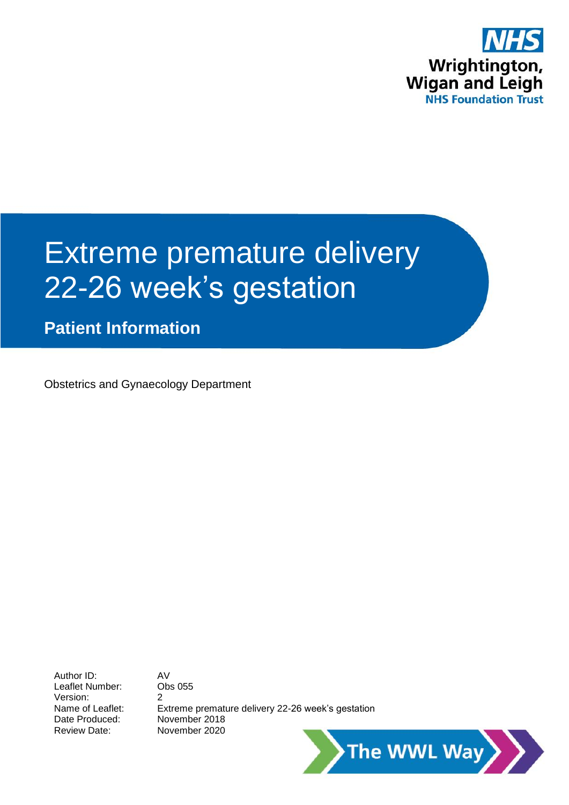

# Extreme premature delivery 22-26 week's gestation

**Patient Information**

Obstetrics and Gynaecology Department

Author ID: AV Leaflet Number: Obs 055 Version: 2 Date Produced: November 2018 Review Date: November 2020

Name of Leaflet: Extreme premature delivery 22-26 week's gestation

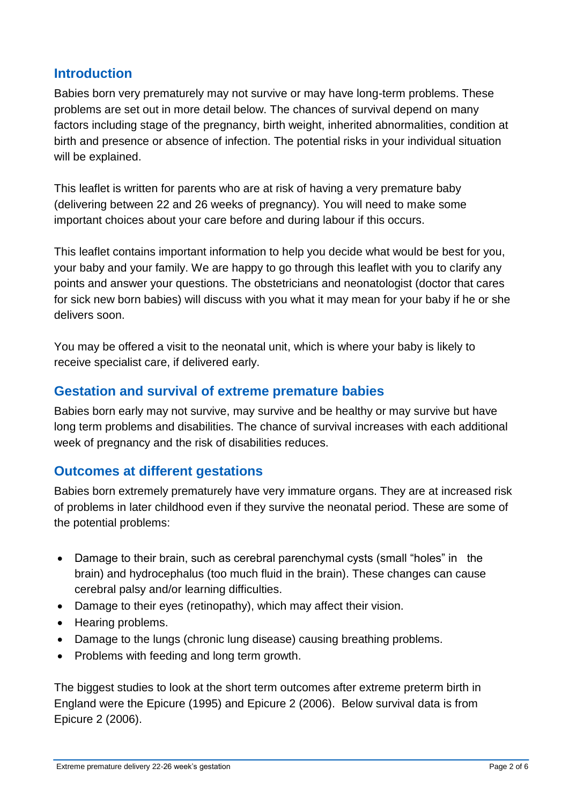## **Introduction**

Babies born very prematurely may not survive or may have long-term problems. These problems are set out in more detail below. The chances of survival depend on many factors including stage of the pregnancy, birth weight, inherited abnormalities, condition at birth and presence or absence of infection. The potential risks in your individual situation will be explained.

This leaflet is written for parents who are at risk of having a very premature baby (delivering between 22 and 26 weeks of pregnancy). You will need to make some important choices about your care before and during labour if this occurs.

This leaflet contains important information to help you decide what would be best for you, your baby and your family. We are happy to go through this leaflet with you to clarify any points and answer your questions. The obstetricians and neonatologist (doctor that cares for sick new born babies) will discuss with you what it may mean for your baby if he or she delivers soon.

You may be offered a visit to the neonatal unit, which is where your baby is likely to receive specialist care, if delivered early.

#### **Gestation and survival of extreme premature babies**

Babies born early may not survive, may survive and be healthy or may survive but have long term problems and disabilities. The chance of survival increases with each additional week of pregnancy and the risk of disabilities reduces.

#### **Outcomes at different gestations**

Babies born extremely prematurely have very immature organs. They are at increased risk of problems in later childhood even if they survive the neonatal period. These are some of the potential problems:

- Damage to their brain, such as cerebral parenchymal cysts (small "holes" in the brain) and hydrocephalus (too much fluid in the brain). These changes can cause cerebral palsy and/or learning difficulties.
- Damage to their eyes (retinopathy), which may affect their vision.
- Hearing problems.
- Damage to the lungs (chronic lung disease) causing breathing problems.
- Problems with feeding and long term growth.

The biggest studies to look at the short term outcomes after extreme preterm birth in England were the Epicure (1995) and Epicure 2 (2006). Below survival data is from Epicure 2 (2006).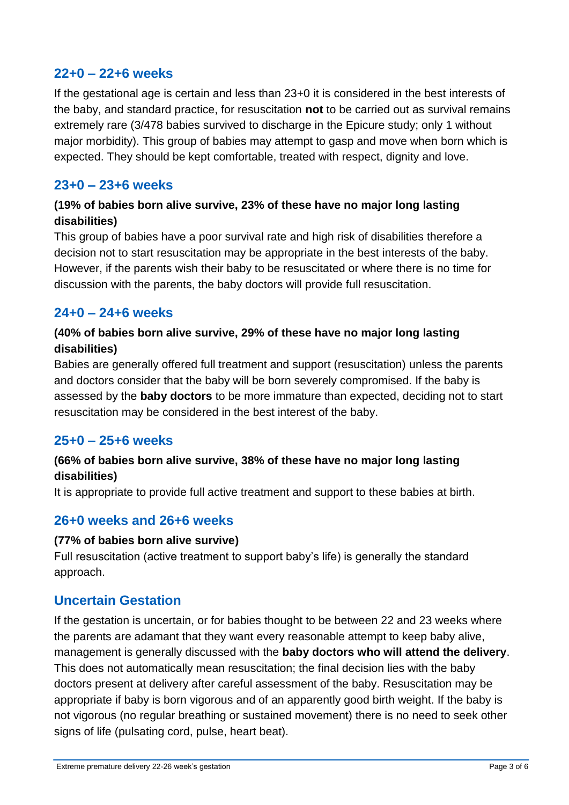#### **22+0 – 22+6 weeks**

If the gestational age is certain and less than 23+0 it is considered in the best interests of the baby, and standard practice, for resuscitation **not** to be carried out as survival remains extremely rare (3/478 babies survived to discharge in the Epicure study; only 1 without major morbidity). This group of babies may attempt to gasp and move when born which is expected. They should be kept comfortable, treated with respect, dignity and love.

#### **23+0 – 23+6 weeks**

#### **(19% of babies born alive survive, 23% of these have no major long lasting disabilities)**

This group of babies have a poor survival rate and high risk of disabilities therefore a decision not to start resuscitation may be appropriate in the best interests of the baby. However, if the parents wish their baby to be resuscitated or where there is no time for discussion with the parents, the baby doctors will provide full resuscitation.

#### **24+0 – 24+6 weeks**

#### **(40% of babies born alive survive, 29% of these have no major long lasting disabilities)**

Babies are generally offered full treatment and support (resuscitation) unless the parents and doctors consider that the baby will be born severely compromised. If the baby is assessed by the **baby doctors** to be more immature than expected, deciding not to start resuscitation may be considered in the best interest of the baby.

## **25+0 – 25+6 weeks**

#### **(66% of babies born alive survive, 38% of these have no major long lasting disabilities)**

It is appropriate to provide full active treatment and support to these babies at birth.

#### **26+0 weeks and 26+6 weeks**

#### **(77% of babies born alive survive)**

Full resuscitation (active treatment to support baby's life) is generally the standard approach.

#### **Uncertain Gestation**

If the gestation is uncertain, or for babies thought to be between 22 and 23 weeks where the parents are adamant that they want every reasonable attempt to keep baby alive, management is generally discussed with the **baby doctors who will attend the delivery**. This does not automatically mean resuscitation; the final decision lies with the baby doctors present at delivery after careful assessment of the baby. Resuscitation may be appropriate if baby is born vigorous and of an apparently good birth weight. If the baby is not vigorous (no regular breathing or sustained movement) there is no need to seek other signs of life (pulsating cord, pulse, heart beat).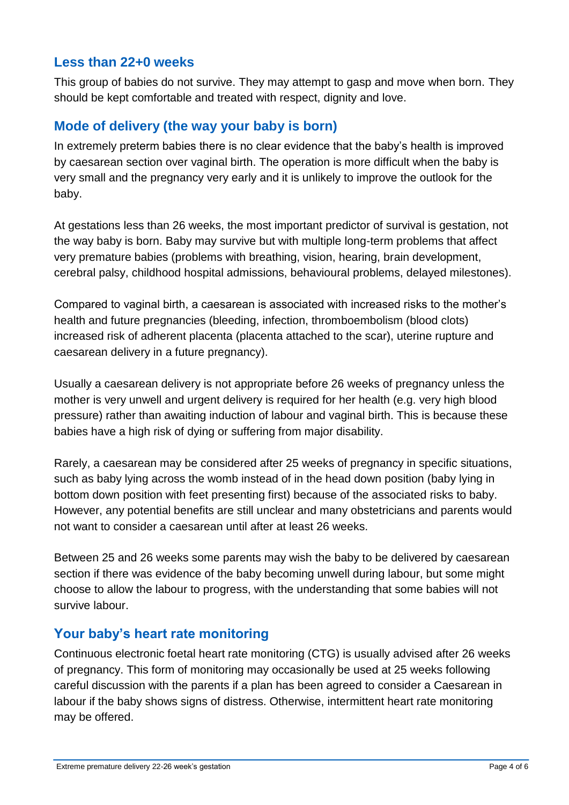## **Less than 22+0 weeks**

This group of babies do not survive. They may attempt to gasp and move when born. They should be kept comfortable and treated with respect, dignity and love.

#### **Mode of delivery (the way your baby is born)**

In extremely preterm babies there is no clear evidence that the baby's health is improved by caesarean section over vaginal birth. The operation is more difficult when the baby is very small and the pregnancy very early and it is unlikely to improve the outlook for the baby.

At gestations less than 26 weeks, the most important predictor of survival is gestation, not the way baby is born. Baby may survive but with multiple long-term problems that affect very premature babies (problems with breathing, vision, hearing, brain development, cerebral palsy, childhood hospital admissions, behavioural problems, delayed milestones).

Compared to vaginal birth, a caesarean is associated with increased risks to the mother's health and future pregnancies (bleeding, infection, thromboembolism (blood clots) increased risk of adherent placenta (placenta attached to the scar), uterine rupture and caesarean delivery in a future pregnancy).

Usually a caesarean delivery is not appropriate before 26 weeks of pregnancy unless the mother is very unwell and urgent delivery is required for her health (e.g. very high blood pressure) rather than awaiting induction of labour and vaginal birth. This is because these babies have a high risk of dying or suffering from major disability.

Rarely, a caesarean may be considered after 25 weeks of pregnancy in specific situations, such as baby lying across the womb instead of in the head down position (baby lying in bottom down position with feet presenting first) because of the associated risks to baby. However, any potential benefits are still unclear and many obstetricians and parents would not want to consider a caesarean until after at least 26 weeks.

Between 25 and 26 weeks some parents may wish the baby to be delivered by caesarean section if there was evidence of the baby becoming unwell during labour, but some might choose to allow the labour to progress, with the understanding that some babies will not survive labour.

#### **Your baby's heart rate monitoring**

Continuous electronic foetal heart rate monitoring (CTG) is usually advised after 26 weeks of pregnancy. This form of monitoring may occasionally be used at 25 weeks following careful discussion with the parents if a plan has been agreed to consider a Caesarean in labour if the baby shows signs of distress. Otherwise, intermittent heart rate monitoring may be offered.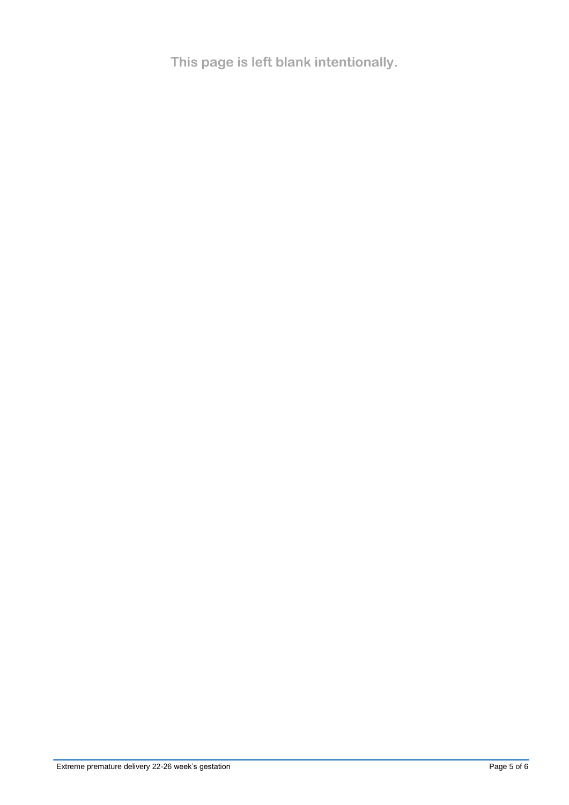**This page is left blank intentionally.**